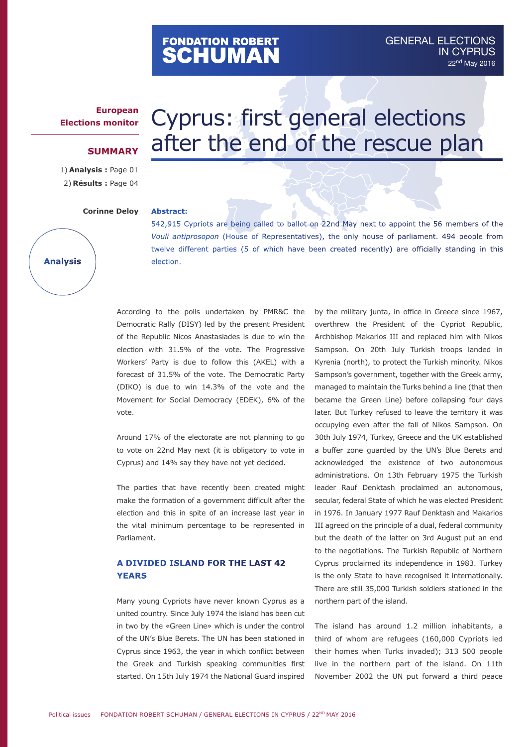# FONDATION ROBERT<br>**SCHUMAN**

## **European Elections monitor**

### **SUMMARY**

1) **Analysis :** Page 01 2) **Résults :** Page 04

**Analysis**

#### **Corinne Deloy**

# Cyprus: first general elections after the end of the rescue plan

#### **Abstract:**

542,915 Cypriots are being called to ballot on 22nd May next to appoint the 56 members of the *Vouli antiprosopon* (House of Representatives), the only house of parliament. 494 people from twelve different parties (5 of which have been created recently) are officially standing in this election.

According to the polls undertaken by PMR&C the Democratic Rally (DISY) led by the present President of the Republic Nicos Anastasiades is due to win the election with 31.5% of the vote. The Progressive Workers' Party is due to follow this (AKEL) with a forecast of 31.5% of the vote. The Democratic Party (DIKO) is due to win 14.3% of the vote and the Movement for Social Democracy (EDEK), 6% of the vote.

Around 17% of the electorate are not planning to go to vote on 22nd May next (it is obligatory to vote in Cyprus) and 14% say they have not yet decided.

The parties that have recently been created might make the formation of a government difficult after the election and this in spite of an increase last year in the vital minimum percentage to be represented in Parliament.

## **A divided island for the last 42 years**

Many young Cypriots have never known Cyprus as a united country. Since July 1974 the island has been cut in two by the «Green Line» which is under the control of the UN's Blue Berets. The UN has been stationed in Cyprus since 1963, the year in which conflict between the Greek and Turkish speaking communities first started. On 15th July 1974 the National Guard inspired

by the military junta, in office in Greece since 1967, overthrew the President of the Cypriot Republic, Archbishop Makarios III and replaced him with Nikos Sampson. On 20th July Turkish troops landed in Kyrenia (north), to protect the Turkish minority. Nikos Sampson's government, together with the Greek army, managed to maintain the Turks behind a line (that then became the Green Line) before collapsing four days later. But Turkey refused to leave the territory it was occupying even after the fall of Nikos Sampson. On 30th July 1974, Turkey, Greece and the UK established a buffer zone guarded by the UN's Blue Berets and acknowledged the existence of two autonomous administrations. On 13th February 1975 the Turkish leader Rauf Denktash proclaimed an autonomous, secular, federal State of which he was elected President in 1976. In January 1977 Rauf Denktash and Makarios III agreed on the principle of a dual, federal community but the death of the latter on 3rd August put an end to the negotiations. The Turkish Republic of Northern Cyprus proclaimed its independence in 1983. Turkey is the only State to have recognised it internationally. There are still 35,000 Turkish soldiers stationed in the northern part of the island.

The island has around 1.2 million inhabitants, a third of whom are refugees (160,000 Cypriots led their homes when Turks invaded); 313 500 people live in the northern part of the island. On 11th November 2002 the UN put forward a third peace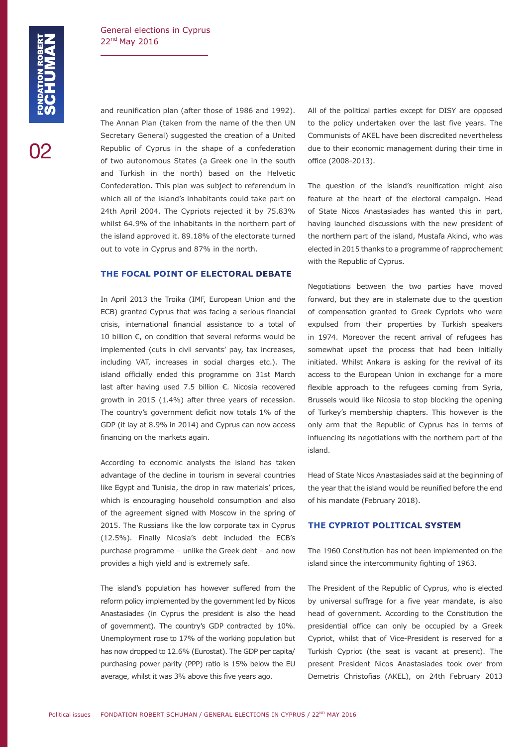02

and reunification plan (after those of 1986 and 1992). The Annan Plan (taken from the name of the then UN Secretary General) suggested the creation of a United Republic of Cyprus in the shape of a confederation of two autonomous States (a Greek one in the south and Turkish in the north) based on the Helvetic Confederation. This plan was subject to referendum in which all of the island's inhabitants could take part on 24th April 2004. The Cypriots rejected it by 75.83% whilst 64.9% of the inhabitants in the northern part of the island approved it. 89.18% of the electorate turned out to vote in Cyprus and 87% in the north.

#### **The focal point of electoral debate**

In April 2013 the Troika (IMF, European Union and the ECB) granted Cyprus that was facing a serious financial crisis, international financial assistance to a total of 10 billion €, on condition that several reforms would be implemented (cuts in civil servants' pay, tax increases, including VAT, increases in social charges etc.). The island officially ended this programme on 31st March last after having used 7.5 billion €. Nicosia recovered growth in 2015 (1.4%) after three years of recession. The country's government deficit now totals 1% of the GDP (it lay at 8.9% in 2014) and Cyprus can now access financing on the markets again.

According to economic analysts the island has taken advantage of the decline in tourism in several countries like Egypt and Tunisia, the drop in raw materials' prices, which is encouraging household consumption and also of the agreement signed with Moscow in the spring of 2015. The Russians like the low corporate tax in Cyprus (12.5%). Finally Nicosia's debt included the ECB's purchase programme – unlike the Greek debt – and now provides a high yield and is extremely safe.

The island's population has however suffered from the reform policy implemented by the government led by Nicos Anastasiades (in Cyprus the president is also the head of government). The country's GDP contracted by 10%. Unemployment rose to 17% of the working population but has now dropped to 12.6% (Eurostat). The GDP per capita/ purchasing power parity (PPP) ratio is 15% below the EU average, whilst it was 3% above this five years ago.

All of the political parties except for DISY are opposed to the policy undertaken over the last five years. The Communists of AKEL have been discredited nevertheless due to their economic management during their time in office (2008-2013).

The question of the island's reunification might also feature at the heart of the electoral campaign. Head of State Nicos Anastasiades has wanted this in part, having launched discussions with the new president of the northern part of the island, Mustafa Akinci, who was elected in 2015 thanks to a programme of rapprochement with the Republic of Cyprus.

Negotiations between the two parties have moved forward, but they are in stalemate due to the question of compensation granted to Greek Cypriots who were expulsed from their properties by Turkish speakers in 1974. Moreover the recent arrival of refugees has somewhat upset the process that had been initially initiated. Whilst Ankara is asking for the revival of its access to the European Union in exchange for a more flexible approach to the refugees coming from Syria, Brussels would like Nicosia to stop blocking the opening of Turkey's membership chapters. This however is the only arm that the Republic of Cyprus has in terms of influencing its negotiations with the northern part of the island.

Head of State Nicos Anastasiades said at the beginning of the year that the island would be reunified before the end of his mandate (February 2018).

#### **The Cypriot political system**

The 1960 Constitution has not been implemented on the island since the intercommunity fighting of 1963.

The President of the Republic of Cyprus, who is elected by universal suffrage for a five year mandate, is also head of government. According to the Constitution the presidential office can only be occupied by a Greek Cypriot, whilst that of Vice-President is reserved for a Turkish Cypriot (the seat is vacant at present). The present President Nicos Anastasiades took over from Demetris Christofias (AKEL), on 24th February 2013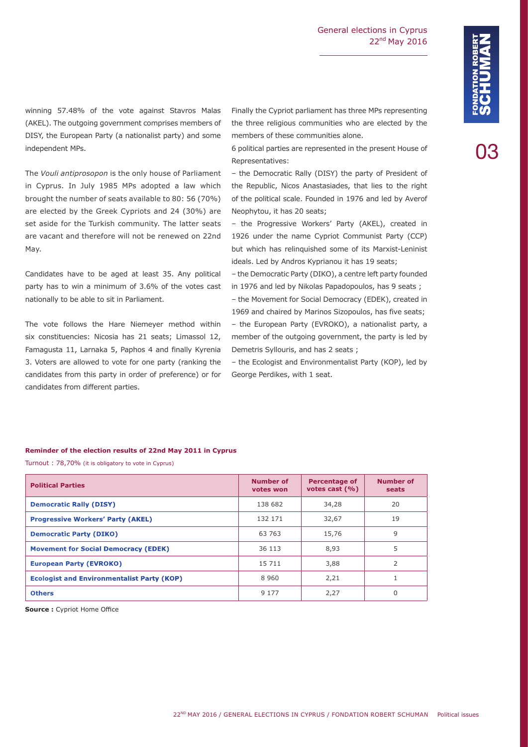03

winning 57.48% of the vote against Stavros Malas (AKEL). The outgoing government comprises members of DISY, the European Party (a nationalist party) and some independent MPs.

The *Vouli antiprosopon* is the only house of Parliament in Cyprus. In July 1985 MPs adopted a law which brought the number of seats available to 80: 56 (70%) are elected by the Greek Cypriots and 24 (30%) are set aside for the Turkish community. The latter seats are vacant and therefore will not be renewed on 22nd May.

Candidates have to be aged at least 35. Any political party has to win a minimum of 3.6% of the votes cast nationally to be able to sit in Parliament.

The vote follows the Hare Niemeyer method within six constituencies: Nicosia has 21 seats; Limassol 12, Famagusta 11, Larnaka 5, Paphos 4 and finally Kyrenia 3. Voters are allowed to vote for one party (ranking the candidates from this party in order of preference) or for candidates from different parties.

Finally the Cypriot parliament has three MPs representing the three religious communities who are elected by the members of these communities alone.

6 political parties are represented in the present House of Representatives:

– the Democratic Rally (DISY) the party of President of the Republic, Nicos Anastasiades, that lies to the right of the political scale. Founded in 1976 and led by Averof Neophytou, it has 20 seats;

– the Progressive Workers' Party (AKEL), created in 1926 under the name Cypriot Communist Party (CCP) but which has relinquished some of its Marxist-Leninist ideals. Led by Andros Kyprianou it has 19 seats;

– the Democratic Party (DIKO), a centre left party founded in 1976 and led by Nikolas Papadopoulos, has 9 seats ;

– the Movement for Social Democracy (EDEK), created in 1969 and chaired by Marinos Sizopoulos, has five seats;

– the European Party (EVROKO), a nationalist party, a member of the outgoing government, the party is led by Demetris Syllouris, and has 2 seats ;

– the Ecologist and Environmentalist Party (KOP), led by George Perdikes, with 1 seat.

#### **Reminder of the election results of 22nd May 2011 in Cyprus**

Turnout : 78,70% (it is obligatory to vote in Cyprus)

| <b>Political Parties</b>                          | <b>Number of</b><br>votes won | <b>Percentage of</b><br>votes cast $(\% )$ | <b>Number of</b><br>seats |
|---------------------------------------------------|-------------------------------|--------------------------------------------|---------------------------|
| <b>Democratic Rally (DISY)</b>                    | 138 682                       | 34,28                                      | 20                        |
| <b>Progressive Workers' Party (AKEL)</b>          | 132 171                       | 32,67                                      | 19                        |
| <b>Democratic Party (DIKO)</b>                    | 63 763                        | 15,76                                      | 9                         |
| <b>Movement for Social Democracy (EDEK)</b>       | 36 113                        | 8,93                                       | 5                         |
| <b>European Party (EVROKO)</b>                    | 15 7 11                       | 3,88                                       | 2                         |
| <b>Ecologist and Environmentalist Party (KOP)</b> | 8960                          | 2,21                                       |                           |
| <b>Others</b>                                     | 9 1 7 7                       | 2,27                                       |                           |

**Source :** Cypriot Home Office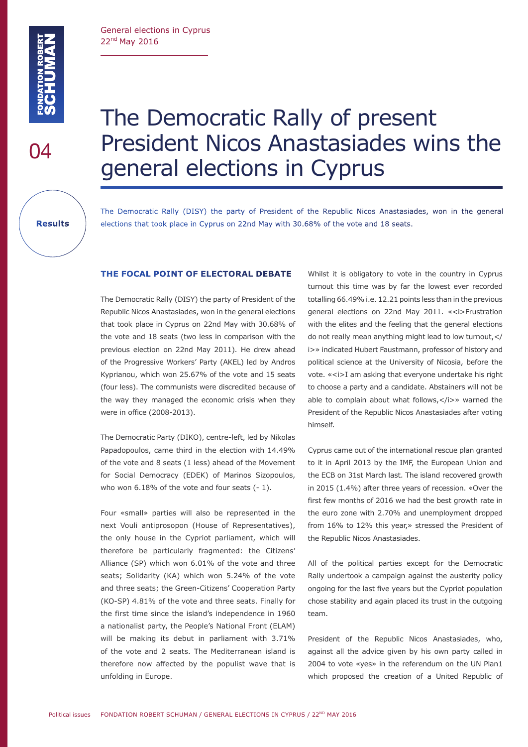General elections in Cyprus 22nd May 2016

04

**Results**

# The Democratic Rally of present President Nicos Anastasiades wins the general elections in Cyprus

The Democratic Rally (DISY) the party of President of the Republic Nicos Anastasiades, won in the general elections that took place in Cyprus on 22nd May with 30.68% of the vote and 18 seats.

#### **The focal point of electoral debate**

The Democratic Rally (DISY) the party of President of the Republic Nicos Anastasiades, won in the general elections that took place in Cyprus on 22nd May with 30.68% of the vote and 18 seats (two less in comparison with the previous election on 22nd May 2011). He drew ahead of the Progressive Workers' Party (AKEL) led by Andros Kyprianou, which won 25.67% of the vote and 15 seats (four less). The communists were discredited because of the way they managed the economic crisis when they were in office (2008-2013).

The Democratic Party (DIKO), centre-left, led by Nikolas Papadopoulos, came third in the election with 14.49% of the vote and 8 seats (1 less) ahead of the Movement for Social Democracy (EDEK) of Marinos Sizopoulos, who won 6.18% of the vote and four seats (- 1).

Four «small» parties will also be represented in the next Vouli antiprosopon (House of Representatives), the only house in the Cypriot parliament, which will therefore be particularly fragmented: the Citizens' Alliance (SP) which won 6.01% of the vote and three seats; Solidarity (KA) which won 5.24% of the vote and three seats; the Green-Citizens' Cooperation Party (KO-SP) 4.81% of the vote and three seats. Finally for the first time since the island's independence in 1960 a nationalist party, the People's National Front (ELAM) will be making its debut in parliament with 3.71% of the vote and 2 seats. The Mediterranean island is therefore now affected by the populist wave that is unfolding in Europe.

Whilst it is obligatory to vote in the country in Cyprus turnout this time was by far the lowest ever recorded totalling 66.49% i.e. 12.21 points less than in the previous general elections on 22nd May 2011. «<i>Frustration with the elites and the feeling that the general elections do not really mean anything might lead to low turnout,</ i>» indicated Hubert Faustmann, professor of history and political science at the University of Nicosia, before the vote. «<i>I am asking that everyone undertake his right to choose a party and a candidate. Abstainers will not be able to complain about what follows, </i>> warned the President of the Republic Nicos Anastasiades after voting himself.

Cyprus came out of the international rescue plan granted to it in April 2013 by the IMF, the European Union and the ECB on 31st March last. The island recovered growth in 2015 (1.4%) after three years of recession. «Over the first few months of 2016 we had the best growth rate in the euro zone with 2.70% and unemployment dropped from 16% to 12% this year,» stressed the President of the Republic Nicos Anastasiades.

All of the political parties except for the Democratic Rally undertook a campaign against the austerity policy ongoing for the last five years but the Cypriot population chose stability and again placed its trust in the outgoing team.

President of the Republic Nicos Anastasiades, who, against all the advice given by his own party called in 2004 to vote «yes» in the referendum on the UN Plan1 which proposed the creation of a United Republic of